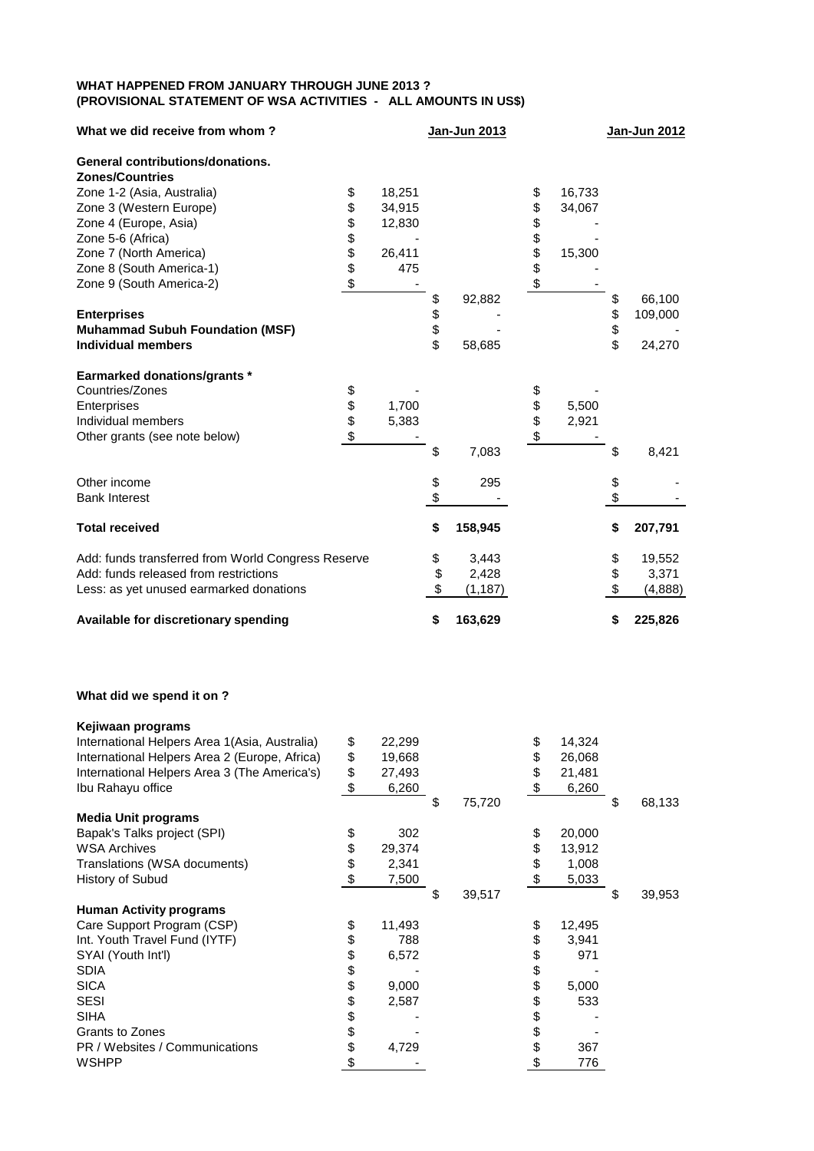## **WHAT HAPPENED FROM JANUARY THROUGH JUNE 2013 ? (PROVISIONAL STATEMENT OF WSA ACTIVITIES - ALL AMOUNTS IN US\$)**

| What we did receive from whom?                     |      |        | Jan-Jun 2013   |          |        | Jan-Jun 2012  |
|----------------------------------------------------|------|--------|----------------|----------|--------|---------------|
| <b>General contributions/donations.</b>            |      |        |                |          |        |               |
| <b>Zones/Countries</b>                             |      |        |                |          |        |               |
| Zone 1-2 (Asia, Australia)                         | \$   | 18,251 |                |          | 16,733 |               |
| Zone 3 (Western Europe)                            | \$   | 34,915 |                | \$<br>\$ | 34,067 |               |
| Zone 4 (Europe, Asia)                              | \$   | 12,830 |                | \$       |        |               |
| Zone 5-6 (Africa)                                  | \$\$ |        |                | \$\$     |        |               |
| Zone 7 (North America)                             |      | 26,411 |                |          | 15,300 |               |
| Zone 8 (South America-1)                           |      | 475    |                |          |        |               |
| Zone 9 (South America-2)                           | \$   |        |                | \$       |        |               |
|                                                    |      |        | \$<br>92,882   |          |        | \$<br>66,100  |
| <b>Enterprises</b>                                 |      |        | \$             |          |        | \$<br>109,000 |
| <b>Muhammad Subuh Foundation (MSF)</b>             |      |        |                |          |        |               |
| <b>Individual members</b>                          |      |        | \$<br>58,685   |          |        | \$<br>24,270  |
| <b>Earmarked donations/grants *</b>                |      |        |                |          |        |               |
| Countries/Zones                                    | \$   |        |                |          |        |               |
| Enterprises                                        | \$   | 1,700  |                | \$\$\$   | 5,500  |               |
| Individual members                                 |      | 5,383  |                |          | 2,921  |               |
| Other grants (see note below)                      | \$   |        |                |          |        |               |
|                                                    |      |        | \$<br>7,083    |          |        | \$<br>8,421   |
| Other income                                       |      |        | \$<br>295      |          |        | \$            |
| <b>Bank Interest</b>                               |      |        | \$             |          |        | \$            |
| <b>Total received</b>                              |      |        | \$<br>158,945  |          |        | \$<br>207,791 |
|                                                    |      |        |                |          |        |               |
| Add: funds transferred from World Congress Reserve |      |        | \$<br>3,443    |          |        | \$<br>19,552  |
| Add: funds released from restrictions              |      |        | \$<br>2,428    |          |        | \$<br>3,371   |
| Less: as yet unused earmarked donations            |      |        | \$<br>(1, 187) |          |        | \$<br>(4,888) |
| Available for discretionary spending               |      |        | \$<br>163,629  |          |        | \$<br>225,826 |

## **What did we spend it on ?**

| Kejiwaan programs                              |              |              |    |        |    |        |
|------------------------------------------------|--------------|--------------|----|--------|----|--------|
| International Helpers Area 1 (Asia, Australia) | \$<br>22,299 |              | \$ | 14,324 |    |        |
| International Helpers Area 2 (Europe, Africa)  | \$<br>19,668 |              | \$ | 26,068 |    |        |
| International Helpers Area 3 (The America's)   | \$<br>27,493 |              | \$ | 21,481 |    |        |
| Ibu Rahayu office                              | \$<br>6,260  |              | S. | 6,260  |    |        |
|                                                |              | \$<br>75,720 |    |        | S  | 68,133 |
| <b>Media Unit programs</b>                     |              |              |    |        |    |        |
| Bapak's Talks project (SPI)                    | \$<br>302    |              | \$ | 20,000 |    |        |
| <b>WSA Archives</b>                            | \$<br>29,374 |              | \$ | 13,912 |    |        |
| Translations (WSA documents)                   | \$<br>2,341  |              | \$ | 1,008  |    |        |
| History of Subud                               | \$<br>7,500  |              | \$ | 5,033  |    |        |
|                                                |              | \$<br>39,517 |    |        | \$ | 39,953 |
| <b>Human Activity programs</b>                 |              |              |    |        |    |        |
| Care Support Program (CSP)                     | \$<br>11,493 |              | \$ | 12,495 |    |        |
| Int. Youth Travel Fund (IYTF)                  | \$<br>788    |              | \$ | 3,941  |    |        |
| SYAI (Youth Int'l)                             | \$<br>6,572  |              | \$ | 971    |    |        |
| <b>SDIA</b>                                    | \$           |              | \$ |        |    |        |
| <b>SICA</b>                                    | \$<br>9,000  |              | \$ | 5,000  |    |        |
| <b>SESI</b>                                    | \$<br>2,587  |              | \$ | 533    |    |        |
| <b>SIHA</b>                                    | \$           |              | \$ |        |    |        |
| Grants to Zones                                | \$           |              | \$ |        |    |        |
| PR / Websites / Communications                 | \$<br>4,729  |              | \$ | 367    |    |        |
| <b>WSHPP</b>                                   | \$           |              | \$ | 776    |    |        |
|                                                |              |              |    |        |    |        |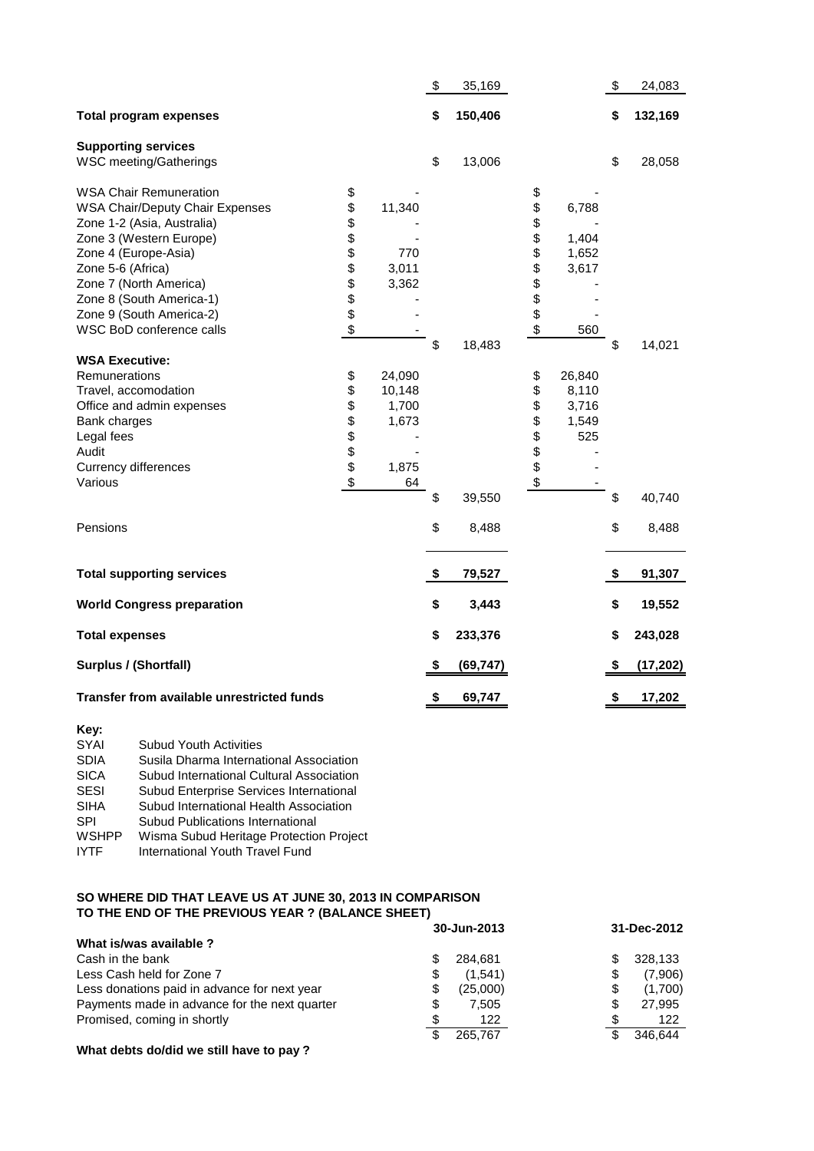|                                                                                                                                                                                                                                                                 |                                  |                                                   | \$             | 35,169                    |                                    |                                          | \$             | 24,083                    |
|-----------------------------------------------------------------------------------------------------------------------------------------------------------------------------------------------------------------------------------------------------------------|----------------------------------|---------------------------------------------------|----------------|---------------------------|------------------------------------|------------------------------------------|----------------|---------------------------|
| <b>Total program expenses</b>                                                                                                                                                                                                                                   |                                  |                                                   | \$             | 150,406                   |                                    |                                          | \$             | 132,169                   |
| <b>Supporting services</b><br>WSC meeting/Gatherings                                                                                                                                                                                                            |                                  |                                                   | \$             | 13,006                    |                                    |                                          | \$             | 28,058                    |
| <b>WSA Chair Remuneration</b><br><b>WSA Chair/Deputy Chair Expenses</b><br>Zone 1-2 (Asia, Australia)<br>Zone 3 (Western Europe)<br>Zone 4 (Europe-Asia)<br>Zone 5-6 (Africa)<br>Zone 7 (North America)<br>Zone 8 (South America-1)<br>Zone 9 (South America-2) | \$<br>\$<br>\$<br>\$\$\$\$\$\$\$ | 11,340<br>770<br>3,011<br>3,362                   |                |                           | \$<br>\$<br>\$<br>\$<br>\$\$\$\$\$ | 6,788<br>1,404<br>1,652<br>3,617         |                |                           |
| WSC BoD conference calls                                                                                                                                                                                                                                        | \$                               |                                                   |                |                           | \$                                 | 560                                      |                |                           |
| <b>WSA Executive:</b><br>Remunerations<br>Travel, accomodation<br>Office and admin expenses<br>Bank charges<br>Legal fees<br>Audit<br><b>Currency differences</b><br>Various<br>Pensions                                                                        | \$<br>\$<br><b>888888</b>        | 24,090<br>10,148<br>1,700<br>1,673<br>1,875<br>64 | \$<br>\$<br>\$ | 18,483<br>39,550<br>8,488 | \$<br>\$<br>\$<br>\$<br>\$\$\$\$   | 26,840<br>8,110<br>3,716<br>1,549<br>525 | \$<br>\$<br>\$ | 14,021<br>40,740<br>8,488 |
| <b>Total supporting services</b>                                                                                                                                                                                                                                |                                  |                                                   | \$             | 79,527                    |                                    |                                          | \$             | 91,307                    |
| <b>World Congress preparation</b>                                                                                                                                                                                                                               |                                  |                                                   | \$             | 3,443                     |                                    |                                          | \$             | 19,552                    |
| <b>Total expenses</b>                                                                                                                                                                                                                                           |                                  |                                                   | \$             | 233,376                   |                                    |                                          | \$             | 243,028                   |
| Surplus / (Shortfall)                                                                                                                                                                                                                                           |                                  |                                                   | \$             | (69, 747)                 |                                    |                                          | \$             | (17, 202)                 |
| Transfer from available unrestricted funds                                                                                                                                                                                                                      |                                  |                                                   | \$             | 69,747                    |                                    |                                          | \$             | 17,202                    |

| Key:         |                                          |
|--------------|------------------------------------------|
| SYAI         | <b>Subud Youth Activities</b>            |
| <b>SDIA</b>  | Susila Dharma International Association  |
| <b>SICA</b>  | Subud International Cultural Association |
| <b>SESI</b>  | Subud Enterprise Services International  |
| <b>SIHA</b>  | Subud International Health Association   |
| <b>SPI</b>   | Subud Publications International         |
| <b>WSHPP</b> | Wisma Subud Heritage Protection Project  |
| <b>IYTF</b>  | International Youth Travel Fund          |
|              |                                          |

## **SO WHERE DID THAT LEAVE US AT JUNE 30, 2013 IN COMPARISON TO THE END OF THE PREVIOUS YEAR ? (BALANCE SHEET)**

|                                               | 30-Jun-2013    | 31-Dec-2012    |  |  |
|-----------------------------------------------|----------------|----------------|--|--|
| What is/was available ?                       |                |                |  |  |
| Cash in the bank                              | S<br>284.681   | 328,133<br>\$. |  |  |
| Less Cash held for Zone 7                     | (1.541)<br>\$  | (7,906)<br>\$  |  |  |
| Less donations paid in advance for next year  | (25,000)<br>\$ | (1,700)<br>\$  |  |  |
| Payments made in advance for the next quarter | \$<br>7.505    | S<br>27,995    |  |  |
| Promised, coming in shortly                   | 122            | 122            |  |  |
|                                               | \$<br>265.767  | 346.644<br>\$. |  |  |

**What debts do/did we still have to pay ?**